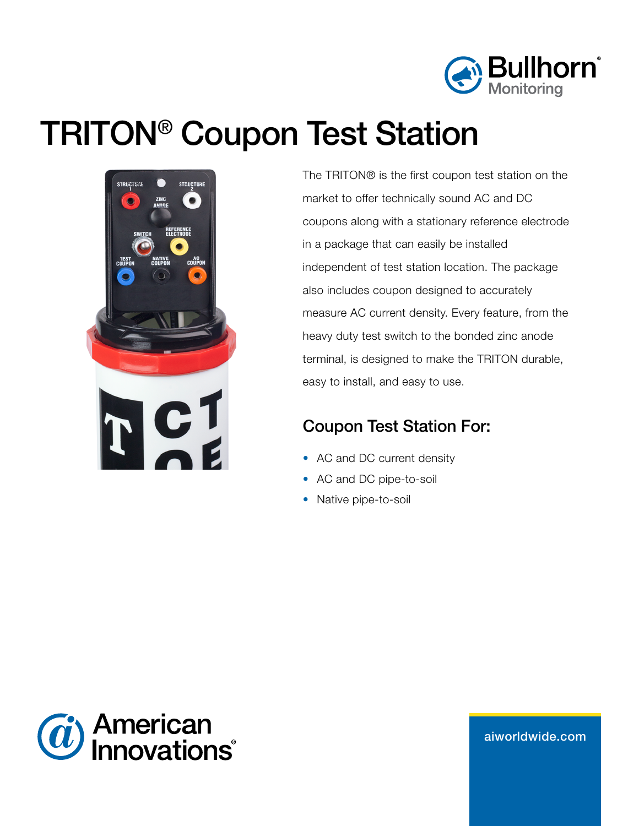

# TRITON® Coupon Test Station



The TRITON® is the first coupon test station on the market to offer technically sound AC and DC coupons along with a stationary reference electrode in a package that can easily be installed independent of test station location. The package also includes coupon designed to accurately measure AC current density. Every feature, from the heavy duty test switch to the bonded zinc anode terminal, is designed to make the TRITON durable, easy to install, and easy to use.

# Coupon Test Station For:

- AC and DC current density
- AC and DC pipe-to-soil
- Native pipe-to-soil



aiw[orldwide.com](http://aiworldwide.com)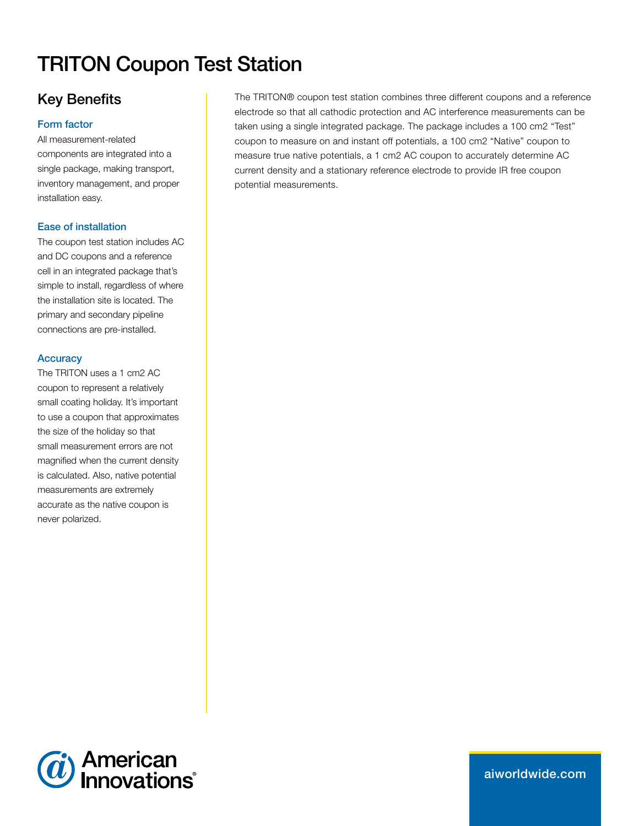# TRITON Coupon Test Station

# Key Benefits

#### Form factor

All measurement-related components are integrated into a single package, making transport, inventory management, and proper installation easy.

#### Ease of installation

The coupon test station includes AC and DC coupons and a reference cell in an integrated package that's simple to install, regardless of where the installation site is located. The primary and secondary pipeline connections are pre-installed.

#### **Accuracy**

The TRITON uses a 1 cm2 AC coupon to represent a relatively small coating holiday. It's important to use a coupon that approximates the size of the holiday so that small measurement errors are not magnified when the current density is calculated. Also, native potential measurements are extremely accurate as the native coupon is never polarized.

The TRITON® coupon test station combines three different coupons and a reference electrode so that all cathodic protection and AC interference measurements can be taken using a single integrated package. The package includes a 100 cm2 "Test" coupon to measure on and instant off potentials, a 100 cm2 "Native" coupon to measure true native potentials, a 1 cm2 AC coupon to accurately determine AC current density and a stationary reference electrode to provide IR free coupon potential measurements.



aiw[orldwide.com](http://aiworldwide.com)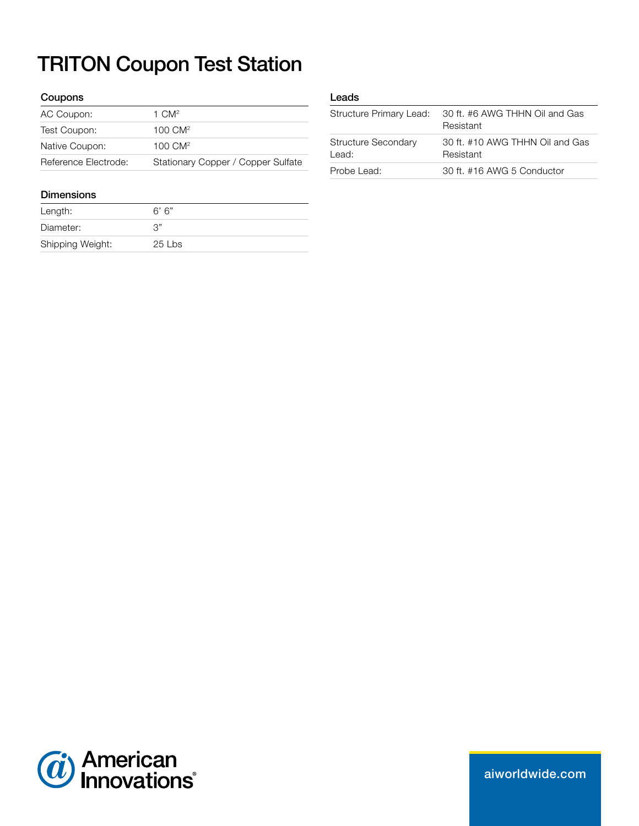# TRITON Coupon Test Station

#### Coupons

| AC Coupon:           | 1 $CM2$                            |
|----------------------|------------------------------------|
| Test Coupon:         | $100 \text{ CM}^2$                 |
| Native Coupon:       | $100 \text{ CM}^2$                 |
| Reference Electrode: | Stationary Copper / Copper Sulfate |

#### Dimensions

| Length:          | 6' 6"  |
|------------------|--------|
| Diameter:        | "ג?    |
| Shipping Weight: | 25 Lbs |

#### Leads

| Structure Primary Lead:             | 30 ft. #6 AWG THHN Oil and Gas<br>Resistant  |
|-------------------------------------|----------------------------------------------|
| <b>Structure Secondary</b><br>Lead: | 30 ft. #10 AWG THHN Oil and Gas<br>Resistant |
| Probe Lead:                         | 30 ft. #16 AWG 5 Conductor                   |



aiw[orldwide.com](http://aiworldwide.com)